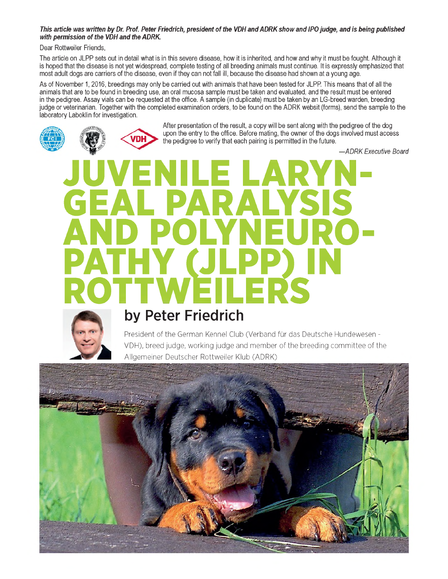## *This article was written by Dr. Prof. Peter Friedrich, president of the VDH and ADRK show and IPO judge, and is being published with permission of the VDH and the ADRK.*

Dear Rottweiler Friends,

The article on JLPP sets out in detail what is in this severe disease, how it is inherited, and how and why it must be fought. Although it is hoped that the disease is not yet widespread, complete testing of all breeding animals must continue. It is expressly emphasized that most adult dogs are carriers of the disease, even if they can not fall ill, because the disease had shown at a young age.

As of November 1, 2016, breedings may only be carried out with animals that have been tested for JLPP. This means that of all the animals that are to be found in breeding use, an oral mucosa sample must be taken and evaluated, and the result must be entered in the pedigree. Assay vials can be requested at the Office. A sample (in duplicate) must be taken by an LG-breed warden, breeding judge or veterinarian. Together with the completed examination Orders, to be found on the ADRK websit (forms), send the sample to the laboratory Laboklin for investigation.





After presentation of the result, a copy will be sent along with the pedigree of the dog upon the entry to the Office. Before mating, the owner of the dogs involved must access the pedigree to verify that each pairing is permitted in the future.

*—ADRK Executive Board*

# JUVENILE LARYN-GEAL PARALYSIS AND POLYNEURO-PATHY (JLPP) IN ROTTWEILERS



# **by Peter Friedrich**

President of the German Kennel Club (Verband für das Deutsche Hundewesen - VDH), breed judge, working judge and member of the breeding committee of the Allgemeiner Deutscher Rottweiler Klub (ADRK)

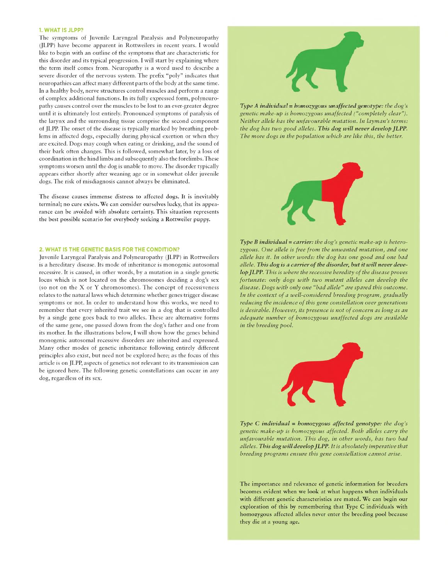#### **1. WHAT IS JLPP?**

The symptoms of Juvenile Laryngeal Paralysis and Polyneuropathy (JLPP) have become apparent in Rottweilers in recent years. I would like to begin with an outline of the Symptoms that are characteristic for this disorder and its typical progression. I will start by explaining where the term itself comes from. Neuropathy is a Word used to describe a severe disorder of the nervous system. The prefix "poly" indicates that neuropathies can affect many different parts of the body at the same time. In a healthy body, nerve structures control muscles and perform a range of complex additional functions. In its fully expressed form, polyneuropathy causes control over the muscles to be lost to an ever-greater degree until it is ultimately lost entirely. Pronounced symptoms of paralysis of the larynx and the surrounding tissue comprise the second component of JLPP. The onset of the disease is typically marked by breathing problems in affected dogs, especially during physical exertion or when they are excited. Dogs may cough when eating or drinking, and the sound of their bark often changes. This is followed, somewhat later, by a loss of coordination in the hind limbs and subsequently also the forelimbs. These symptoms worsen until the dog is unable to move. The disorder typically appears either shortly after weaning age or in somewhat older juvenile dogs. The risk of misdiagnosis cannot always be eliminated.

The disease causes immense distress to affected dogs. It is inevitably terminal; no eure exists. We can consider ourselves lucky, that its appearance can be avoided with absolute certainty. This situation represents the best possible scenario for everybody seeking a Rottweiler puppy.

#### **2. WHAT IS THE GENETIC BASIS FOR THE CONDITION?**

Juvenile Laryngeal Paralysis and Polyneuropathy (JLPP) in Rottweilers is a hereditary disease. Its mode of inheritance is monogenic autosomal recessive. It is caused, in other words, by a mutation in a single genetic locus which is not located on the chromosomes deciding a dog's sex (so not on the X or Y chromosomes). The concept of recessiveness relates to the natural laws which determine whether genes trigger disease symptoms or not. In order to understand how this works, we need to remember that every inherited trait we see in a dog that is controlled by a single gene goes back to two alleles. These are alternative forms of the same gene, one passed down from the dog's father and one from its mother. In the illustrations below, I will show how the genes behind monogenic autosomal recessive disorders are inherited and expressed. Many other modes of genetic inheritance following entirely different principles also exist, but need not be explored here; as the focus of this article is on JLPP, aspects of genetics not relevant to its transmission can be ignored here. The following genetic constellations can occur in any dog, regardless of its sex.



Type A individual = homozygous unaffected genotype: the dog's *genetic make-up is homozygous unaffected ("completely clear"). Neither allele has the unfavourable mutation. In layman's terms:* the dog has two good alleles. This dog will never develop JLPP. The more dogs in the population which are like this, the better.



*Type B individual* = *carrier: the dog's genetic make-up is heterozygous. One allele is free from the unwanted mutation, and one allele has it. In other words: the dog has one good and one bad* allele. This dog is a carrier of the disorder, but it will never deve*lop JLPP. This is where the recessive heredity of the disease proves fortunate: only dogs with two mutant alleles can develop the disease.* Dogs with only one "bad allele" are spared this outcome. In the context of a well-considered breeding program, gradually *reducing the incidence of this gene constellation over generations is desirable. However, its presence is not of concern as long as an* adequate number of homozygous unaffected dogs are available *in the breeding pool.* 



*Type C individual* = *homozygous affected genotype: the dog's g en etic m a k e-u p is h om ozy g ou s a ffected . B oth alleles carry the unfavourable mutation. This dog, in other words, has two bad alleles. This dog will develop JLPP. It is abso lu tely im perative that breeding programs ensure this gene constellation cannot arise.* 

The importance and relevance of genetic information for breeders becomes evident when we look at what happens when individuals with different genetic characteristics are mated. We can begin our exploration of this by remembering that Type C individuals with homozygous affected alleles never enter the breeding pool because they die at a young age.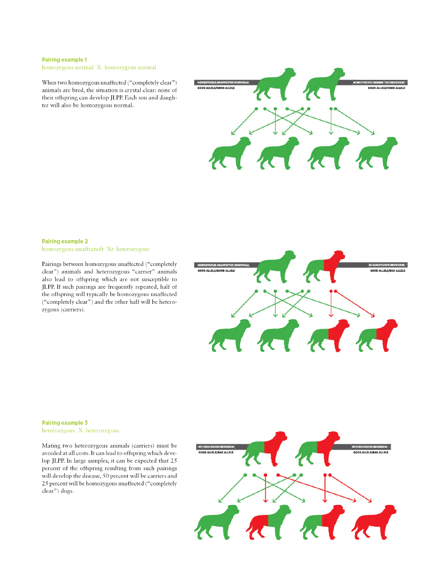### **Pairing example 1**

homozygous normal X homozygous normal

When two homozygous unaffected ("completely clear") animals are bred, the situation is crystal clear: none of their offspring can develop JLPP. Each son and daughter will also be homozygous normal.



#### **Pairing example 2** homozygous unaffectedt Xt heterozygous

Pairings between homozygous unaffected ("completely clear") animals and heterozygous "carrier" animals also lead to offspring which are not susceptible to JLPP. If such pairings are frequently repeated, half of the offspring will typically be homozygous unaffected ("completely clear" ) and the other half will be heterozygous (carriers).



#### **Pairing example 3** heterozygous X heterozygous

Mating two heterozygous animals (carriers) must be avoided at all costs. It can lead to offspring which develop JLPP. In large samples, it can be expected that 25 percent of the offspring resulting from such pairings will develop the disease, 50 percent will be carriers and 25 percent will be homozygous unaffected ("completely clear") dogs.